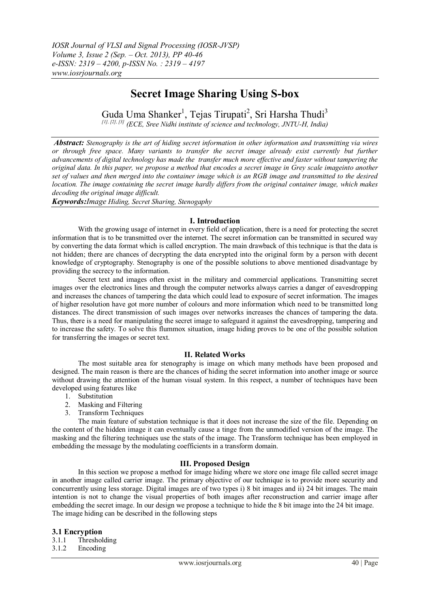# **Secret Image Sharing Using S-box**

Guda Uma Shanker<sup>1</sup>, Tejas Tirupati<sup>2</sup>, Sri Harsha Thudi<sup>3</sup> *[1], [2], [3] (ECE, Sree Nidhi institute of science and technology, JNTU-H, India)*

*Abstract: Stenography is the art of hiding secret information in other information and transmitting via wires or through free space. Many variants to transfer the secret image already exist currently but further advancements of digital technology has made the transfer much more effective and faster without tampering the original data. In this paper, we propose a method that encodes a secret image in Grey scale imageinto another set of values and then merged into the container image which is an RGB image and transmitted to the desired location. The image containing the secret image hardly differs from the original container image, which makes decoding the original image difficult.*

*Keywords:Image Hiding, Secret Sharing, Stenogaphy*

#### **I. Introduction**

With the growing usage of internet in every field of application, there is a need for protecting the secret information that is to be transmitted over the internet. The secret information can be transmitted in secured way by converting the data format which is called encryption. The main drawback of this technique is that the data is not hidden; there are chances of decrypting the data encrypted into the original form by a person with decent knowledge of cryptography. Stenography is one of the possible solutions to above mentioned disadvantage by providing the secrecy to the information.

Secret text and images often exist in the military and commercial applications. Transmitting secret images over the electronics lines and through the computer networks always carries a danger of eavesdropping and increases the chances of tampering the data which could lead to exposure of secret information. The images of higher resolution have got more number of colours and more information which need to be transmitted long distances. The direct transmission of such images over networks increases the chances of tampering the data. Thus, there is a need for manipulating the secret image to safeguard it against the eavesdropping, tampering and to increase the safety. To solve this flummox situation, image hiding proves to be one of the possible solution for transferring the images or secret text.

#### **II. Related Works**

The most suitable area for stenography is image on which many methods have been proposed and designed. The main reason is there are the chances of hiding the secret information into another image or source without drawing the attention of the human visual system. In this respect, a number of techniques have been developed using features like

- 1. Substitution
- 2. Masking and Filtering
- 3. Transform Techniques

The main feature of substation technique is that it does not increase the size of the file. Depending on the content of the hidden image it can eventually cause a tinge from the unmodified version of the image. The masking and the filtering techniques use the stats of the image. The Transform technique has been employed in embedding the message by the modulating coefficients in a transform domain.

### **III. Proposed Design**

In this section we propose a method for image hiding where we store one image file called secret image in another image called carrier image. The primary objective of our technique is to provide more security and concurrently using less storage. Digital images are of two types i) 8 bit images and ii) 24 bit images. The main intention is not to change the visual properties of both images after reconstruction and carrier image after embedding the secret image. In our design we propose a technique to hide the 8 bit image into the 24 bit image. The image hiding can be described in the following steps

### **3.1 Encryption**

3.1.1 Thresholding

3.1.2 Encoding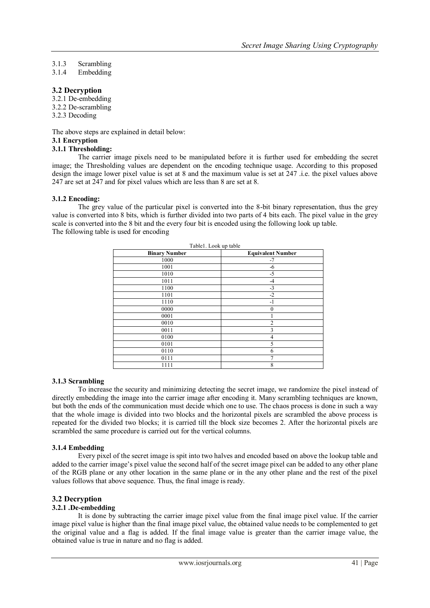# 3.1.3 Scrambling

3.1.4 Embedding

# **3.2 Decryption**

3.2.1 De-embedding 3.2.2 De-scrambling 3.2.3 Decoding

The above steps are explained in detail below:

#### **3.1 Encryption**

### **3.1.1 Thresholding:**

The carrier image pixels need to be manipulated before it is further used for embedding the secret image; the Thresholding values are dependent on the encoding technique usage. According to this proposed design the image lower pixel value is set at 8 and the maximum value is set at 247 .i.e. the pixel values above 247 are set at 247 and for pixel values which are less than 8 are set at 8.

#### **3.1.2 Encoding:**

The grey value of the particular pixel is converted into the 8-bit binary representation, thus the grey value is converted into 8 bits, which is further divided into two parts of 4 bits each. The pixel value in the grey scale is converted into the 8 bit and the every four bit is encoded using the following look up table. The following table is used for encoding

| Table1. Look up table |                          |
|-----------------------|--------------------------|
| <b>Binary Number</b>  | <b>Equivalent Number</b> |
| 1000                  | -7                       |
| 1001                  | -6                       |
| 1010                  | $-5$                     |
| 1011                  | $-4$                     |
| 1100                  | $-3$                     |
| 1101                  | $-2$                     |
| 1110                  | $-1$                     |
| 0000                  | $\mathbf{0}$             |
| 0001                  |                          |
| 0010                  | $\overline{2}$           |
| 0011                  | 3                        |
| 0100                  | 4                        |
| 0101                  | 5                        |
| 0110                  | 6                        |
| 0111                  | 7                        |
| 1111                  | 8                        |

### **3.1.3 Scrambling**

To increase the security and minimizing detecting the secret image, we randomize the pixel instead of directly embedding the image into the carrier image after encoding it. Many scrambling techniques are known, but both the ends of the communication must decide which one to use. The chaos process is done in such a way that the whole image is divided into two blocks and the horizontal pixels are scrambled the above process is repeated for the divided two blocks; it is carried till the block size becomes 2. After the horizontal pixels are scrambled the same procedure is carried out for the vertical columns.

### **3.1.4 Embedding**

Every pixel of the secret image is spit into two halves and encoded based on above the lookup table and added to the carrier image's pixel value the second half of the secret image pixel can be added to any other plane of the RGB plane or any other location in the same plane or in the any other plane and the rest of the pixel values follows that above sequence. Thus, the final image is ready.

### **3.2 Decryption**

### **3.2.1 .De-embedding**

It is done by subtracting the carrier image pixel value from the final image pixel value. If the carrier image pixel value is higher than the final image pixel value, the obtained value needs to be complemented to get the original value and a flag is added. If the final image value is greater than the carrier image value, the obtained value is true in nature and no flag is added.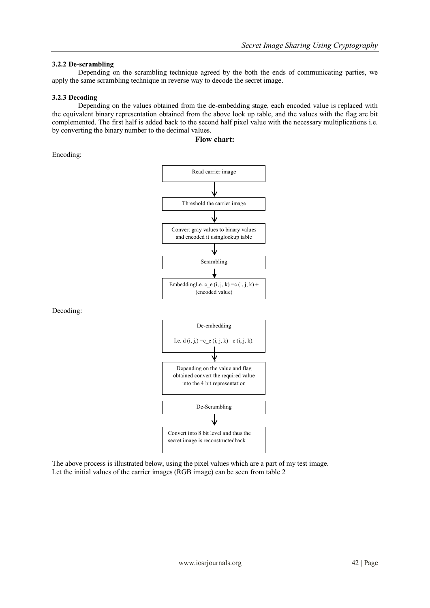# **3.2.2 De-scrambling**

Depending on the scrambling technique agreed by the both the ends of communicating parties, we apply the same scrambling technique in reverse way to decode the secret image.

### **3.2.3 Decoding**

Depending on the values obtained from the de-embedding stage, each encoded value is replaced with the equivalent binary representation obtained from the above look up table, and the values with the flag are bit complemented. The first half is added back to the second half pixel value with the necessary multiplications i.e. by converting the binary number to the decimal values.

#### **Flow chart:**

Encoding:



The above process is illustrated below, using the pixel values which are a part of my test image. Let the initial values of the carrier images (RGB image) can be seen from table 2

Decoding: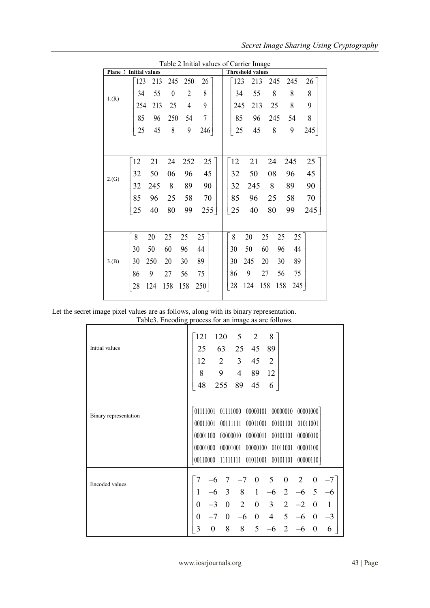|  | Secret Image Sharing Using Cryptography |  |  |  |  |
|--|-----------------------------------------|--|--|--|--|
|--|-----------------------------------------|--|--|--|--|

|       |                       | Table 2 Initial values of Carrier Image |     |                         |            |           |
|-------|-----------------------|-----------------------------------------|-----|-------------------------|------------|-----------|
| Plane | <b>Initial values</b> |                                         |     | <b>Threshold values</b> |            |           |
|       | 123<br>213            | 245<br>250<br>26                        |     | 123<br>213              | 245        | 245<br>26 |
| 1.(R) | 55<br>34              | 8<br>$\overline{2}$<br>$\boldsymbol{0}$ |     | 55<br>34                | 8          | 8<br>8    |
|       | 213<br>254            | 9<br>25<br>4                            |     | 213<br>245              | 25         | 8<br>9    |
|       | 85<br>96              | $\overline{7}$<br>250<br>54             |     | 85<br>96                | 245        | 8<br>54   |
|       | 25<br>45              | 8<br>9<br>246                           |     | 45<br>25                | 8          | 9<br>245  |
|       |                       |                                         |     |                         |            |           |
|       | 12<br>21              | 24<br>252                               | 25  | 12<br>21                | 24         | 25<br>245 |
| 2.(G) | 50<br>32              | 96<br>45<br>06                          |     | 50<br>32                | 08         | 45<br>96  |
|       | 32<br>245             | 8<br>89<br>90                           |     | 32<br>245               | 8          | 90<br>89  |
|       | 85<br>96              | 25<br>58<br>70                          |     | 85<br>96                | 25         | 70<br>58  |
|       | 25<br>40              | 99<br>80                                | 255 | 25<br>40                | 80         | 99<br>245 |
|       |                       |                                         |     |                         |            |           |
|       | 8<br>20               | 25<br>25<br>25                          |     | 8<br>20                 | 25<br>25   | 25        |
|       | 30<br>50              | 60<br>96<br>44                          |     | 50<br>30                | 60<br>96   | 44        |
| 3.(B) | 250<br>30             | 20<br>89<br>30                          |     | 245<br>30               | 30<br>20   | 89        |
|       | 9<br>86               | 75<br>27<br>56                          |     | 9<br>86                 | 27<br>56   | 75        |
|       | 28<br>124             | 158<br>158<br>250                       |     | 28<br>124               | 158<br>158 | 245       |
|       |                       |                                         |     |                         |            |           |

 $Table 2$  Initial values of  $Corr<sub>ox</sub>$  In

Let the secret image pixel values are as follows, along with its binary representation.

| Table3. Encoding process for an image as are follows. |  |
|-------------------------------------------------------|--|
|-------------------------------------------------------|--|

| $14000$ . Encountry process for an image as are follows. |                                         |                  |                                         |                                                   |                                                                                                                            |                                       |                                                     |                      |                                                              |                   |
|----------------------------------------------------------|-----------------------------------------|------------------|-----------------------------------------|---------------------------------------------------|----------------------------------------------------------------------------------------------------------------------------|---------------------------------------|-----------------------------------------------------|----------------------|--------------------------------------------------------------|-------------------|
| Initial values                                           | 121<br>25<br>12<br>8<br>48              |                  | 120<br>63<br>$\overline{2}$<br>9<br>255 | 5<br>25<br>$\mathfrak{Z}$<br>$\overline{4}$<br>89 | $\overline{2}$<br>45<br>45<br>89<br>45                                                                                     | 8<br>89<br>2<br>12<br>6               |                                                     |                      |                                                              |                   |
| Binary representation                                    |                                         |                  |                                         |                                                   | 01111001 01111000 00000101 00000010<br>00011001 00111111 00011001 00101101 01011001<br>00001000 00001001 00000100 01011001 |                                       |                                                     | 00001000<br>00001100 |                                                              |                   |
| <b>Encoded values</b>                                    |                                         |                  | 7                                       |                                                   | 00110000 11111111 01011001 00101101 00000110<br>$-7$ 0                                                                     | 5                                     | $\boldsymbol{0}$                                    | 2                    | $\boldsymbol{0}$                                             |                   |
|                                                          | 1<br>$\overline{0}$<br>$\boldsymbol{0}$ |                  | $-7$ 0                                  | $-3$ 0 2<br>$-6$                                  | $-6$ 3 8 1<br>$\mathbf{0}$                                                                                                 | $-6$<br>$0 \quad 3$<br>4 <sup>1</sup> | $\overline{2}$<br>$\overline{2}$<br>$5\overline{)}$ | $-6$<br>$-2$<br>$-6$ | $5\overline{)}$<br>$\overline{0}$<br>$\overline{\mathbf{0}}$ | $-6$<br>1<br>$-3$ |
|                                                          | 3                                       | $\boldsymbol{0}$ | 8                                       | 8                                                 | 5                                                                                                                          | $-6$                                  | 2                                                   | $-6$                 | $\theta$                                                     | 6                 |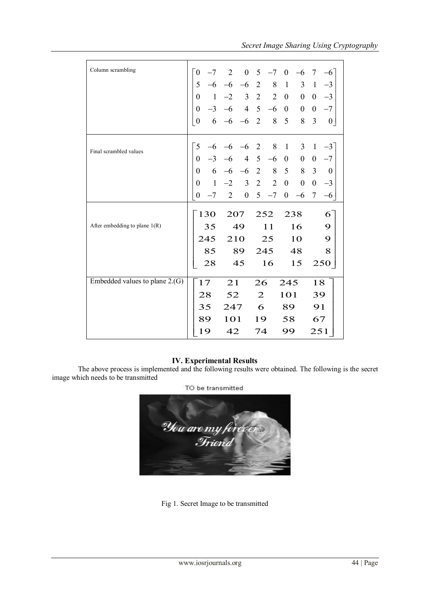| Column scrambling                | $\theta$         | $-7$                                                              |                      | $2 \t 0 \t 5$    |                |                | $-7$ 0         | $-6$                    | $\tau$           | $-6$             |
|----------------------------------|------------------|-------------------------------------------------------------------|----------------------|------------------|----------------|----------------|----------------|-------------------------|------------------|------------------|
|                                  |                  | 5 <sup>5</sup>                                                    | $-6$ $-6$ $-6$ 2 8 1 |                  |                |                |                | $3 \quad 1$             |                  | $-3$             |
|                                  |                  |                                                                   |                      |                  |                |                |                | $0\quad 0$              |                  | $-3$             |
|                                  |                  |                                                                   |                      |                  |                |                |                |                         |                  | $0 -7$           |
|                                  |                  | $0$ 1 -2 3 2 2 0 0<br>$0$ -3 -6 4 5 -6 0 0<br>$0$ 6 -6 -6 2 8 5 8 |                      |                  |                |                |                | 8                       | $\overline{3}$   | 0 <sub>1</sub>   |
|                                  |                  |                                                                   |                      |                  |                |                |                |                         |                  |                  |
| Final scrambled values           | 5                | $-6$                                                              | $-6$                 | $-6$ 2           |                | $8\,$          | $\overline{1}$ | 3                       | $\mathbf{1}$     | $-3$             |
|                                  |                  | $\overline{0}$                                                    |                      | $-6$ 4 5 $-6$    |                |                | $\overline{0}$ | $\overline{\mathbf{0}}$ | $\mathbf{0}$     | $-7$             |
|                                  |                  | $0 \t 6 \t -6 \t -6 \t 2 \t 8 \t 5 \t 8$                          |                      |                  |                |                |                |                         | $\overline{3}$   | $\boldsymbol{0}$ |
|                                  | $\overline{0}$   |                                                                   | $1 -2 3 2$           |                  |                | $\overline{2}$ | $\overline{0}$ | $\boldsymbol{0}$        | $\boldsymbol{0}$ | $-3$             |
|                                  | $\boldsymbol{0}$ | $-7$                                                              | 2                    | $\boldsymbol{0}$ |                | $5 - 7$        | $\mathbf{0}$   | $-6$                    | $\tau$           | $-6$             |
|                                  |                  |                                                                   |                      |                  |                |                |                |                         |                  |                  |
|                                  | 130              |                                                                   | 207                  |                  | 252            |                | 238            |                         |                  | 6                |
| After embedding to plane $1(R)$  |                  | 35                                                                |                      | 49               | 11             |                |                | 16                      |                  | 9                |
|                                  |                  | 245                                                               |                      | 210              | 25             |                | 10             |                         |                  | 9                |
|                                  |                  |                                                                   |                      | 85 89            |                | 245            |                | 48                      |                  | 8                |
|                                  |                  | 28                                                                | 45                   |                  | 16             |                | 15             |                         |                  | 250              |
|                                  |                  |                                                                   |                      |                  |                |                |                |                         |                  |                  |
| Embedded values to plane $2.(G)$ |                  | 17                                                                |                      | 21               |                | 26             |                | 245                     |                  | 18               |
|                                  |                  | 28                                                                | 52                   |                  | $\overline{2}$ |                | 101            |                         | 39               |                  |
|                                  |                  | 35<br>247                                                         |                      |                  | 6              |                | 89             |                         | 91               |                  |
|                                  |                  | 89                                                                | 101                  |                  | 19             |                | 58             |                         | 67               |                  |
|                                  |                  | 19                                                                | 42                   |                  | 74<br>99       |                |                | 251                     |                  |                  |

# **IV. Experimental Results**

The above process is implemented and the following results were obtained. The following is the secret image which needs to be transmitted



Fig 1. Secret Image to be transmitted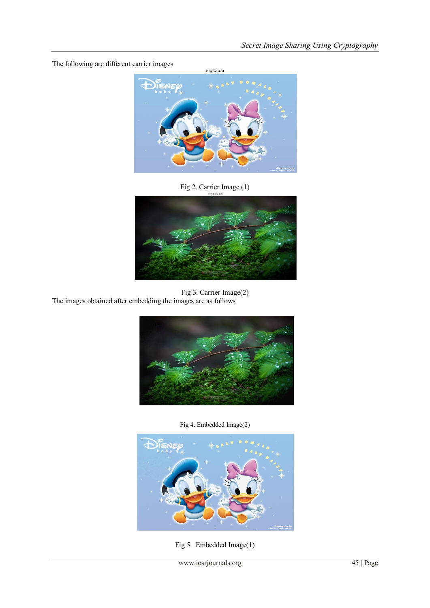The following are different carrier images



Fig 2. Carrier Image (1)



Fig 3. Carrier Image(2) The images obtained after embedding the images are as follows



Fig 4. Embedded Image(2)



Fig 5. Embedded Image(1)